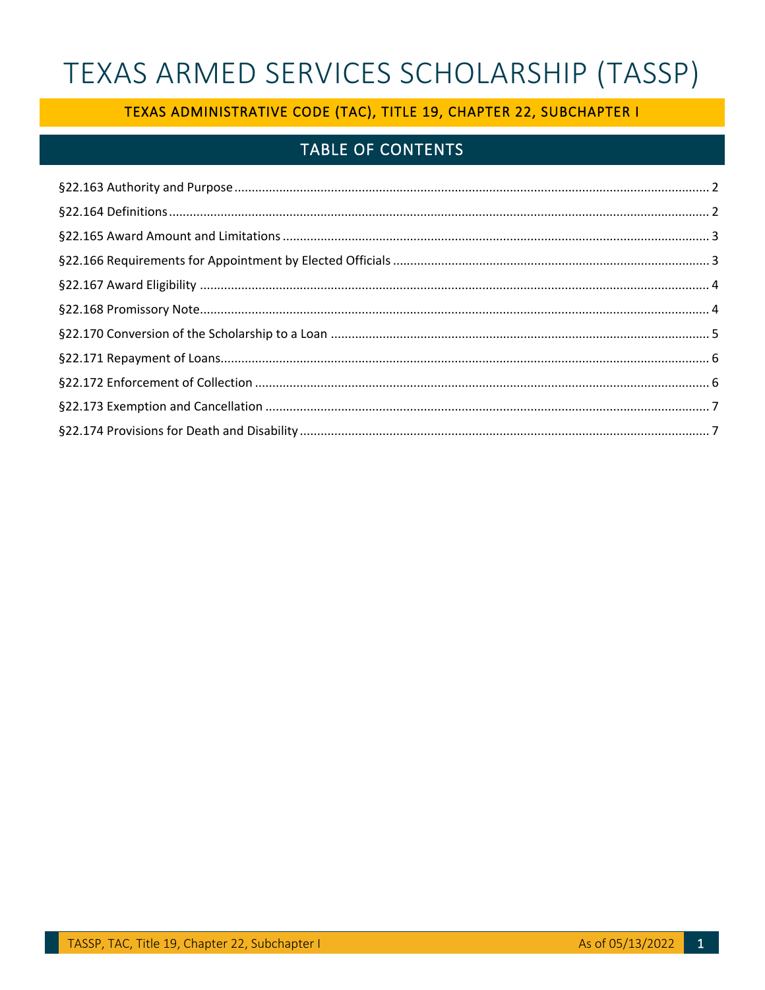# TEXAS ARMED SERVICES SCHOLARSHIP (TASSP)

# TEXAS ADMINISTRATIVE CODE (TAC), TITLE 19, CHAPTER 22, SUBCHAPTER I

# **TABLE OF CONTENTS**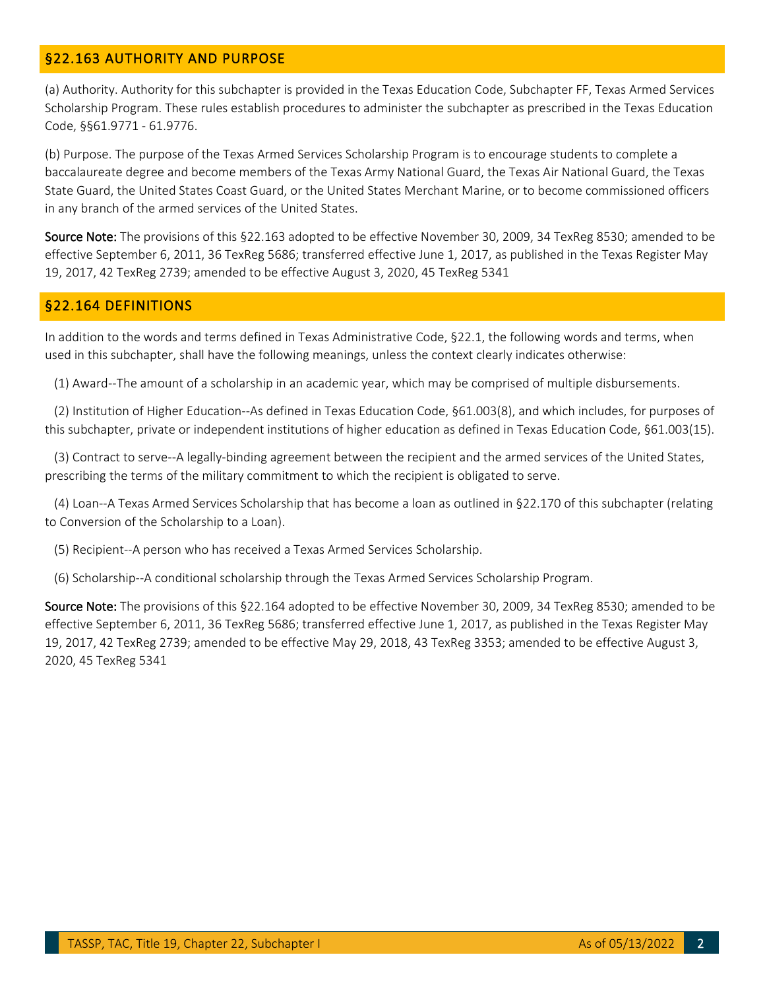### <span id="page-1-0"></span>§22.163 AUTHORITY AND PURPOSE

(a) Authority. Authority for this subchapter is provided in the Texas Education Code, Subchapter FF, Texas Armed Services Scholarship Program. These rules establish procedures to administer the subchapter as prescribed in the Texas Education Code, §§61.9771 - 61.9776.

 (b) Purpose. The purpose of the Texas Armed Services Scholarship Program is to encourage students to complete a State Guard, the United States Coast Guard, or the United States Merchant Marine, or to become commissioned officers baccalaureate degree and become members of the Texas Army National Guard, the Texas Air National Guard, the Texas in any branch of the armed services of the United States.

Source Note: The provisions of this §22.163 adopted to be effective November 30, 2009, 34 TexReg 8530; amended to be 19, 2017, 42 TexReg 2739; amended to be effective August 3, 2020, 45 TexReg 5341 effective September 6, 2011, 36 TexReg 5686; transferred effective June 1, 2017, as published in the Texas Register May

#### <span id="page-1-1"></span>§22.164 DEFINITIONS

 In addition to the words and terms defined in Texas Administrative Code, §22.1, the following words and terms, when used in this subchapter, shall have the following meanings, unless the context clearly indicates otherwise:

(1) Award--The amount of a scholarship in an academic year, which may be comprised of multiple disbursements.

 this subchapter, private or independent institutions of higher education as defined in Texas Education Code, §61.003(15). (2) Institution of Higher Education--As defined in Texas Education Code, §61.003(8), and which includes, for purposes of

 prescribing the terms of the military commitment to which the recipient is obligated to serve. (3) Contract to serve--A legally-binding agreement between the recipient and the armed services of the United States,

(4) Loan--A Texas Armed Services Scholarship that has become a loan as outlined in §22.170 of this subchapter (relating to Conversion of the Scholarship to a Loan).

(5) Recipient--A person who has received a Texas Armed Services Scholarship.

(6) Scholarship--A conditional scholarship through the Texas Armed Services Scholarship Program.

Source Note: The provisions of this §22.164 adopted to be effective November 30, 2009, 34 TexReg 8530; amended to be 19, 2017, 42 TexReg 2739; amended to be effective May 29, 2018, 43 TexReg 3353; amended to be effective August 3, effective September 6, 2011, 36 TexReg 5686; transferred effective June 1, 2017, as published in the Texas Register May 2020, 45 TexReg 5341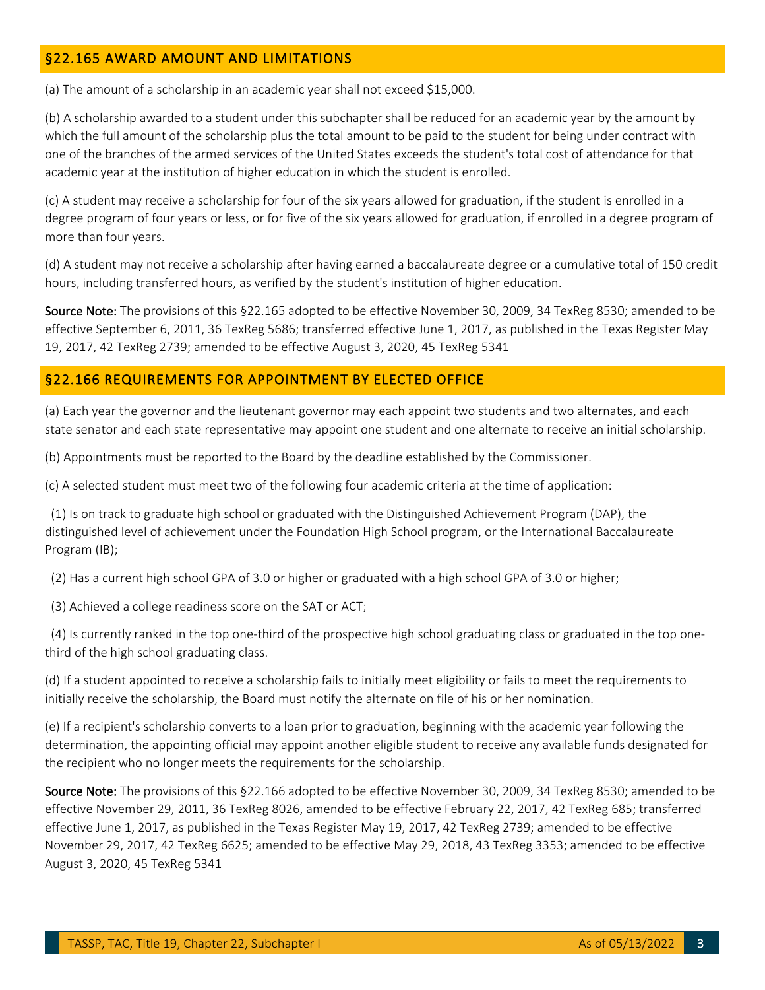## <span id="page-2-0"></span>§22.165 AWARD AMOUNT AND LIMITATIONS

(a) The amount of a scholarship in an academic year shall not exceed \$15,000.

 (b) A scholarship awarded to a student under this subchapter shall be reduced for an academic year by the amount by which the full amount of the scholarship plus the total amount to be paid to the student for being under contract with one of the branches of the armed services of the United States exceeds the student's total cost of attendance for that academic year at the institution of higher education in which the student is enrolled.

 (c) A student may receive a scholarship for four of the six years allowed for graduation, if the student is enrolled in a degree program of four years or less, or for five of the six years allowed for graduation, if enrolled in a degree program of more than four years.

 hours, including transferred hours, as verified by the student's institution of higher education. (d) A student may not receive a scholarship after having earned a baccalaureate degree or a cumulative total of 150 credit

Source Note: The provisions of this §22.165 adopted to be effective November 30, 2009, 34 TexReg 8530; amended to be 19, 2017, 42 TexReg 2739; amended to be effective August 3, 2020, 45 TexReg 5341 effective September 6, 2011, 36 TexReg 5686; transferred effective June 1, 2017, as published in the Texas Register May

#### <span id="page-2-1"></span>§22.166 REQUIREMENTS FOR APPOINTMENT BY ELECTED OFFICE

(a) Each year the governor and the lieutenant governor may each appoint two students and two alternates, and each state senator and each state representative may appoint one student and one alternate to receive an initial scholarship.

(b) Appointments must be reported to the Board by the deadline established by the Commissioner.

(c) A selected student must meet two of the following four academic criteria at the time of application:

 (1) Is on track to graduate high school or graduated with the Distinguished Achievement Program (DAP), the distinguished level of achievement under the Foundation High School program, or the International Baccalaureate Program (IB);

(2) Has a current high school GPA of 3.0 or higher or graduated with a high school GPA of 3.0 or higher;

(3) Achieved a college readiness score on the SAT or ACT;

 (4) Is currently ranked in the top one-third of the prospective high school graduating class or graduated in the top onethird of the high school graduating class.

 (d) If a student appointed to receive a scholarship fails to initially meet eligibility or fails to meet the requirements to initially receive the scholarship, the Board must notify the alternate on file of his or her nomination.

 (e) If a recipient's scholarship converts to a loan prior to graduation, beginning with the academic year following the the recipient who no longer meets the requirements for the scholarship. determination, the appointing official may appoint another eligible student to receive any available funds designated for

Source Note: The provisions of this §22.166 adopted to be effective November 30, 2009, 34 TexReg 8530; amended to be effective June 1, 2017, as published in the Texas Register May 19, 2017, 42 TexReg 2739; amended to be effective November 29, 2017, 42 TexReg 6625; amended to be effective May 29, 2018, 43 TexReg 3353; amended to be effective effective November 29, 2011, 36 TexReg 8026, amended to be effective February 22, 2017, 42 TexReg 685; transferred August 3, 2020, 45 TexReg 5341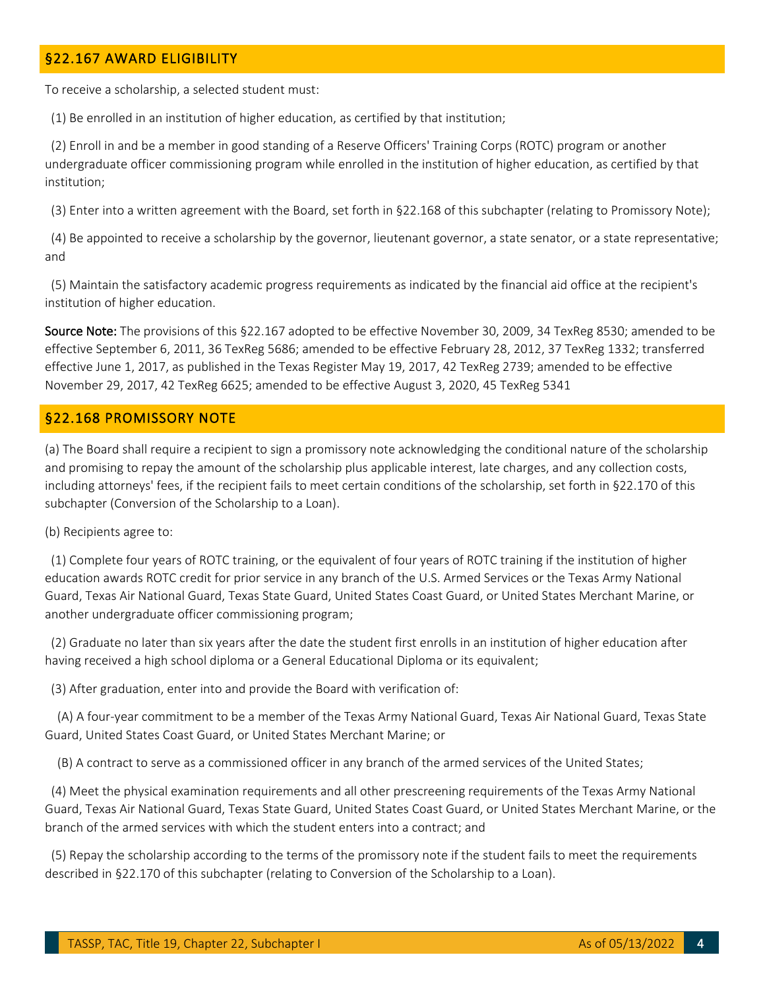### <span id="page-3-0"></span>§22.167 AWARD ELIGIBILITY

To receive a scholarship, a selected student must:

(1) Be enrolled in an institution of higher education, as certified by that institution;

 (2) Enroll in and be a member in good standing of a Reserve Officers' Training Corps (ROTC) program or another undergraduate officer commissioning program while enrolled in the institution of higher education, as certified by that institution;

(3) Enter into a written agreement with the Board, set forth in §22.168 of this subchapter (relating to Promissory Note);

(4) Be appointed to receive a scholarship by the governor, lieutenant governor, a state senator, or a state representative; and

(5) Maintain the satisfactory academic progress requirements as indicated by the financial aid office at the recipient's institution of higher education.

Source Note: The provisions of this §22.167 adopted to be effective November 30, 2009, 34 TexReg 8530; amended to be effective September 6, 2011, 36 TexReg 5686; amended to be effective February 28, 2012, 37 TexReg 1332; transferred November 29, 2017, 42 TexReg 6625; amended to be effective August 3, 2020, 45 TexReg 5341 effective June 1, 2017, as published in the Texas Register May 19, 2017, 42 TexReg 2739; amended to be effective

#### <span id="page-3-1"></span>§22.168 PROMISSORY NOTE

 and promising to repay the amount of the scholarship plus applicable interest, late charges, and any collection costs, including attorneys' fees, if the recipient fails to meet certain conditions of the scholarship, set forth in §22.170 of this (a) The Board shall require a recipient to sign a promissory note acknowledging the conditional nature of the scholarship subchapter (Conversion of the Scholarship to a Loan).

(b) Recipients agree to:

 education awards ROTC credit for prior service in any branch of the U.S. Armed Services or the Texas Army National Guard, Texas Air National Guard, Texas State Guard, United States Coast Guard, or United States Merchant Marine, or (1) Complete four years of ROTC training, or the equivalent of four years of ROTC training if the institution of higher another undergraduate officer commissioning program;

 having received a high school diploma or a General Educational Diploma or its equivalent; (2) Graduate no later than six years after the date the student first enrolls in an institution of higher education after

(3) After graduation, enter into and provide the Board with verification of:

 Guard, United States Coast Guard, or United States Merchant Marine; or (A) A four-year commitment to be a member of the Texas Army National Guard, Texas Air National Guard, Texas State

(B) A contract to serve as a commissioned officer in any branch of the armed services of the United States;

 Guard, Texas Air National Guard, Texas State Guard, United States Coast Guard, or United States Merchant Marine, or the branch of the armed services with which the student enters into a contract; and (4) Meet the physical examination requirements and all other prescreening requirements of the Texas Army National

(5) Repay the scholarship according to the terms of the promissory note if the student fails to meet the requirements described in §22.170 of this subchapter (relating to Conversion of the Scholarship to a Loan).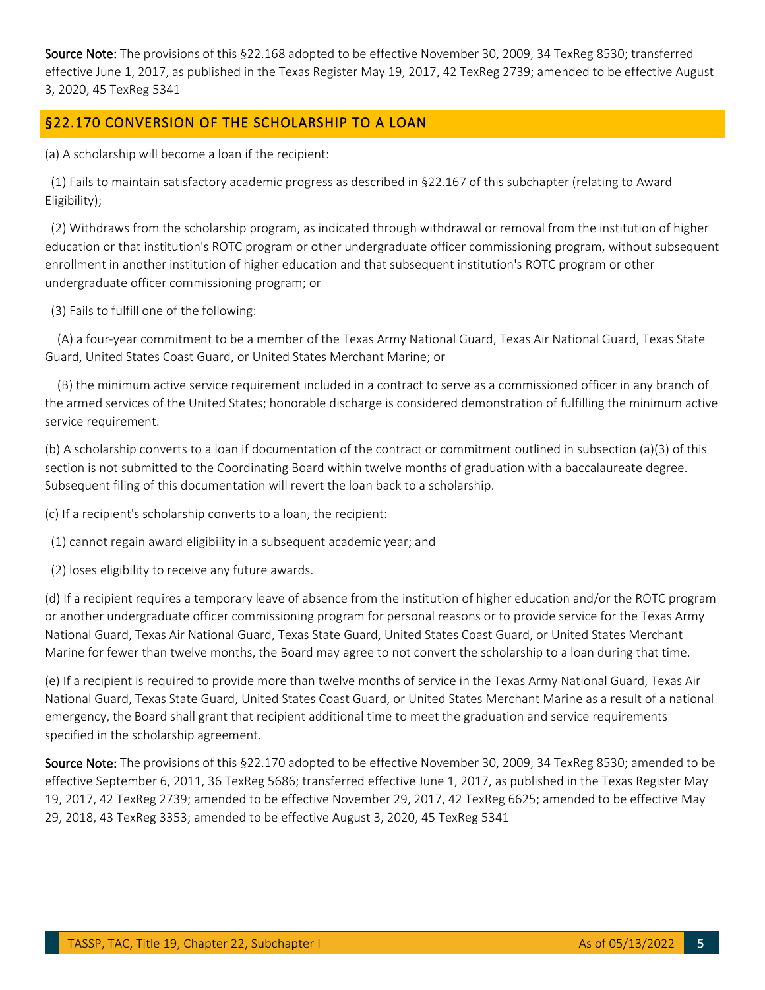Source Note: The provisions of this §22.168 adopted to be effective November 30, 2009, 34 TexReg 8530; transferred effective June 1, 2017, as published in the Texas Register May 19, 2017, 42 TexReg 2739; amended to be effective August 3, 2020, 45 TexReg 5341

## <span id="page-4-0"></span>§22.170 CONVERSION OF THE SCHOLARSHIP TO A LOAN

(a) A scholarship will become a loan if the recipient:

(1) Fails to maintain satisfactory academic progress as described in §22.167 of this subchapter (relating to Award Eligibility);

 education or that institution's ROTC program or other undergraduate officer commissioning program, without subsequent enrollment in another institution of higher education and that subsequent institution's ROTC program or other (2) Withdraws from the scholarship program, as indicated through withdrawal or removal from the institution of higher undergraduate officer commissioning program; or

(3) Fails to fulfill one of the following:

 Guard, United States Coast Guard, or United States Merchant Marine; or (A) a four-year commitment to be a member of the Texas Army National Guard, Texas Air National Guard, Texas State

 the armed services of the United States; honorable discharge is considered demonstration of fulfilling the minimum active (B) the minimum active service requirement included in a contract to serve as a commissioned officer in any branch of service requirement.

 (b) A scholarship converts to a loan if documentation of the contract or commitment outlined in subsection (a)(3) of this section is not submitted to the Coordinating Board within twelve months of graduation with a baccalaureate degree. Subsequent filing of this documentation will revert the loan back to a scholarship.

(c) If a recipient's scholarship converts to a loan, the recipient:

(1) cannot regain award eligibility in a subsequent academic year; and

(2) loses eligibility to receive any future awards.

 (d) If a recipient requires a temporary leave of absence from the institution of higher education and/or the ROTC program National Guard, Texas Air National Guard, Texas State Guard, United States Coast Guard, or United States Merchant Marine for fewer than twelve months, the Board may agree to not convert the scholarship to a loan during that time. or another undergraduate officer commissioning program for personal reasons or to provide service for the Texas Army

 (e) If a recipient is required to provide more than twelve months of service in the Texas Army National Guard, Texas Air National Guard, Texas State Guard, United States Coast Guard, or United States Merchant Marine as a result of a national emergency, the Board shall grant that recipient additional time to meet the graduation and service requirements specified in the scholarship agreement.

Source Note: The provisions of this §22.170 adopted to be effective November 30, 2009, 34 TexReg 8530; amended to be 19, 2017, 42 TexReg 2739; amended to be effective November 29, 2017, 42 TexReg 6625; amended to be effective May 29, 2018, 43 TexReg 3353; amended to be effective August 3, 2020, 45 TexReg 5341 effective September 6, 2011, 36 TexReg 5686; transferred effective June 1, 2017, as published in the Texas Register May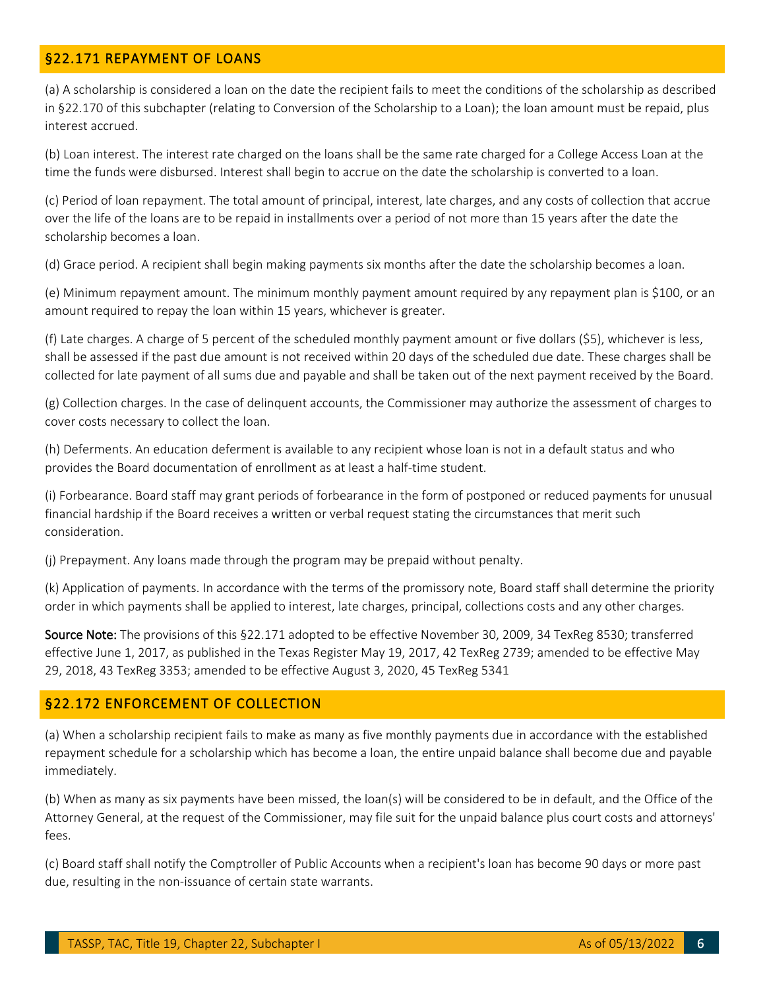### <span id="page-5-0"></span>§22.171 REPAYMENT OF LOANS

 (a) A scholarship is considered a loan on the date the recipient fails to meet the conditions of the scholarship as described in §22.170 of this subchapter (relating to Conversion of the Scholarship to a Loan); the loan amount must be repaid, plus interest accrued.

(b) Loan interest. The interest rate charged on the loans shall be the same rate charged for a College Access Loan at the time the funds were disbursed. Interest shall begin to accrue on the date the scholarship is converted to a loan.

 over the life of the loans are to be repaid in installments over a period of not more than 15 years after the date the (c) Period of loan repayment. The total amount of principal, interest, late charges, and any costs of collection that accrue scholarship becomes a loan.

(d) Grace period. A recipient shall begin making payments six months after the date the scholarship becomes a loan.

 (e) Minimum repayment amount. The minimum monthly payment amount required by any repayment plan is \$100, or an amount required to repay the loan within 15 years, whichever is greater.

 collected for late payment of all sums due and payable and shall be taken out of the next payment received by the Board. (f) Late charges. A charge of 5 percent of the scheduled monthly payment amount or five dollars (\$5), whichever is less, shall be assessed if the past due amount is not received within 20 days of the scheduled due date. These charges shall be

(g) Collection charges. In the case of delinquent accounts, the Commissioner may authorize the assessment of charges to cover costs necessary to collect the loan.

 (h) Deferments. An education deferment is available to any recipient whose loan is not in a default status and who provides the Board documentation of enrollment as at least a half-time student.

 financial hardship if the Board receives a written or verbal request stating the circumstances that merit such (i) Forbearance. Board staff may grant periods of forbearance in the form of postponed or reduced payments for unusual consideration.

(j) Prepayment. Any loans made through the program may be prepaid without penalty.

 (k) Application of payments. In accordance with the terms of the promissory note, Board staff shall determine the priority order in which payments shall be applied to interest, late charges, principal, collections costs and any other charges.

Source Note: The provisions of this §22.171 adopted to be effective November 30, 2009, 34 TexReg 8530; transferred 29, 2018, 43 TexReg 3353; amended to be effective August 3, 2020, 45 TexReg 5341 effective June 1, 2017, as published in the Texas Register May 19, 2017, 42 TexReg 2739; amended to be effective May

### <span id="page-5-1"></span>§22.172 ENFORCEMENT OF COLLECTION

 (a) When a scholarship recipient fails to make as many as five monthly payments due in accordance with the established repayment schedule for a scholarship which has become a loan, the entire unpaid balance shall become due and payable immediately.

 (b) When as many as six payments have been missed, the loan(s) will be considered to be in default, and the Office of the Attorney General, at the request of the Commissioner, may file suit for the unpaid balance plus court costs and attorneys' fees.

 (c) Board staff shall notify the Comptroller of Public Accounts when a recipient's loan has become 90 days or more past due, resulting in the non-issuance of certain state warrants.